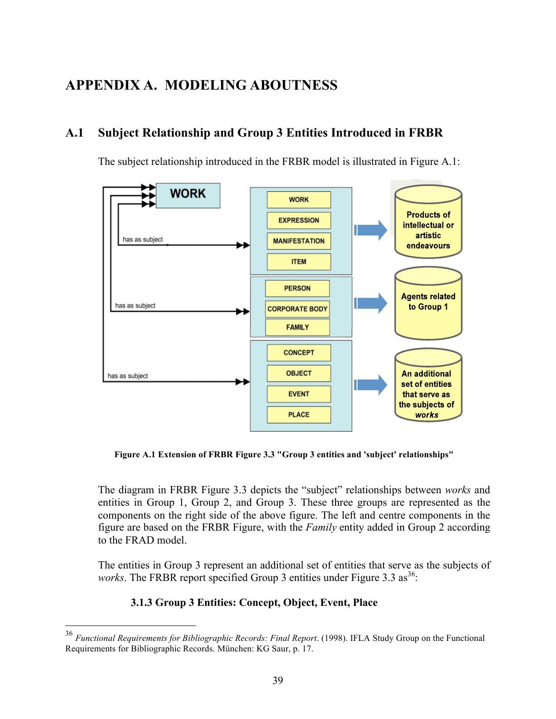# **APPENDIX A. MODELING ABOUTNESS**

# **A.1 Subject Relationship and Group 3 Entities Introduced in FRBR**

The subject relationship introduced in the FRBR model is illustrated in Figure A.1:



**Figure A.1 Extension of FRBR Figure 3.3 "Group 3 entities and 'subject' relationships"**

The diagram in FRBR Figure 3.3 depicts the "subject" relationships between *works* and entities in Group 1, Group 2, and Group 3. These three groups are represented as the components on the right side of the above figure. The left and centre components in the figure are based on the FRBR Figure, with the *Family* entity added in Group 2 according to the FRAD model.

The entities in Group 3 represent an additional set of entities that serve as the subjects of *works*. The FRBR report specified Group 3 entities under Figure 3.3  $as^{36}$ .

## **3.1.3 Group 3 Entities: Concept, Object, Event, Place**

 <sup>36</sup> *Functional Requirements for Bibliographic Records: Final Report*. (1998). IFLA Study Group on the Functional Requirements for Bibliographic Records. München: KG Saur, p. 17.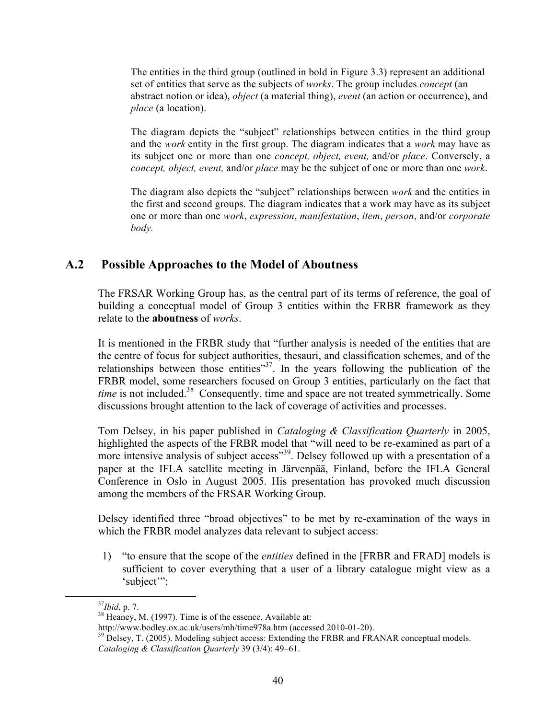The entities in the third group (outlined in bold in Figure 3.3) represent an additional set of entities that serve as the subjects of *works*. The group includes *concept* (an abstract notion or idea), *object* (a material thing), *event* (an action or occurrence), and *place* (a location).

The diagram depicts the "subject" relationships between entities in the third group and the *work* entity in the first group. The diagram indicates that a *work* may have as its subject one or more than one *concept, object, event,* and/or *place*. Conversely, a *concept, object, event,* and/or *place* may be the subject of one or more than one *work*.

The diagram also depicts the "subject" relationships between *work* and the entities in the first and second groups. The diagram indicates that a work may have as its subject one or more than one *work*, *expression*, *manifestation*, *item*, *person*, and/or *corporate body.*

## **A.2 Possible Approaches to the Model of Aboutness**

The FRSAR Working Group has, as the central part of its terms of reference, the goal of building a conceptual model of Group 3 entities within the FRBR framework as they relate to the **aboutness** of *works*.

It is mentioned in the FRBR study that "further analysis is needed of the entities that are the centre of focus for subject authorities, thesauri, and classification schemes, and of the relationships between those entities $37$ . In the years following the publication of the FRBR model, some researchers focused on Group 3 entities, particularly on the fact that *time* is not included.<sup>38</sup> Consequently, time and space are not treated symmetrically. Some discussions brought attention to the lack of coverage of activities and processes.

Tom Delsey, in his paper published in *Cataloging & Classification Quarterly* in 2005, highlighted the aspects of the FRBR model that "will need to be re-examined as part of a more intensive analysis of subject access"<sup>39</sup>. Delsey followed up with a presentation of a paper at the IFLA satellite meeting in Järvenpää, Finland, before the IFLA General Conference in Oslo in August 2005. His presentation has provoked much discussion among the members of the FRSAR Working Group.

Delsey identified three "broad objectives" to be met by re-examination of the ways in which the FRBR model analyzes data relevant to subject access:

1) "to ensure that the scope of the *entities* defined in the [FRBR and FRAD] models is sufficient to cover everything that a user of a library catalogue might view as a 'subject'";

 $37Jbid, p. 7.$ <br><sup>38</sup> Heaney, M. (1997). Time is of the essence. Available at:

http://www.bodley.ox.ac.uk/users/mh/time978a.htm (accessed 2010-01-20).<br><sup>39</sup> Delsey, T. (2005). Modeling subject access: Extending the FRBR and FRANAR conceptual models. *Cataloging & Classification Quarterly* 39 (3/4): 49–61.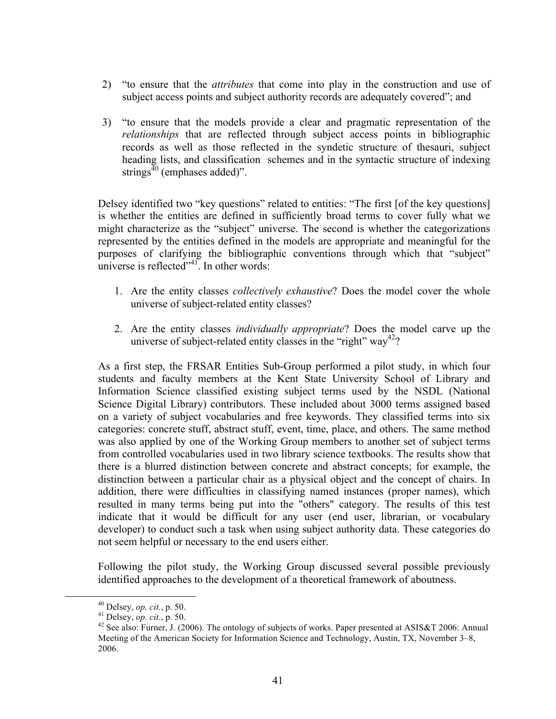- 2) "to ensure that the *attributes* that come into play in the construction and use of subject access points and subject authority records are adequately covered"; and
- 3) "to ensure that the models provide a clear and pragmatic representation of the *relationships* that are reflected through subject access points in bibliographic records as well as those reflected in the syndetic structure of thesauri, subject heading lists, and classification schemes and in the syntactic structure of indexing strings $40$  (emphases added)".

Delsey identified two "key questions" related to entities: "The first [of the key questions] is whether the entities are defined in sufficiently broad terms to cover fully what we might characterize as the "subject" universe. The second is whether the categorizations represented by the entities defined in the models are appropriate and meaningful for the purposes of clarifying the bibliographic conventions through which that "subject" universe is reflected" $^{41}$ . In other words:

- 1. Are the entity classes *collectively exhaustive*? Does the model cover the whole universe of subject-related entity classes?
- 2. Are the entity classes *individually appropriate*? Does the model carve up the universe of subject-related entity classes in the "right" way<sup>42</sup>?

As a first step, the FRSAR Entities Sub-Group performed a pilot study, in which four students and faculty members at the Kent State University School of Library and Information Science classified existing subject terms used by the NSDL (National Science Digital Library) contributors. These included about 3000 terms assigned based on a variety of subject vocabularies and free keywords. They classified terms into six categories: concrete stuff, abstract stuff, event, time, place, and others. The same method was also applied by one of the Working Group members to another set of subject terms from controlled vocabularies used in two library science textbooks. The results show that there is a blurred distinction between concrete and abstract concepts; for example, the distinction between a particular chair as a physical object and the concept of chairs. In addition, there were difficulties in classifying named instances (proper names), which resulted in many terms being put into the "others" category. The results of this test indicate that it would be difficult for any user (end user, librarian, or vocabulary developer) to conduct such a task when using subject authority data. These categories do not seem helpful or necessary to the end users either.

Following the pilot study, the Working Group discussed several possible previously identified approaches to the development of a theoretical framework of aboutness.

<sup>&</sup>lt;sup>40</sup> Delsey, *op. cit.*, p. 50.<br><sup>41</sup> Delsey, *op. cit.*, p. 50.<br><sup>42</sup> See also: Furner, J. (2006). The ontology of subjects of works. Paper presented at ASIS&T 2006: Annual Meeting of the American Society for Information Science and Technology, Austin, TX, November 3–8, 2006.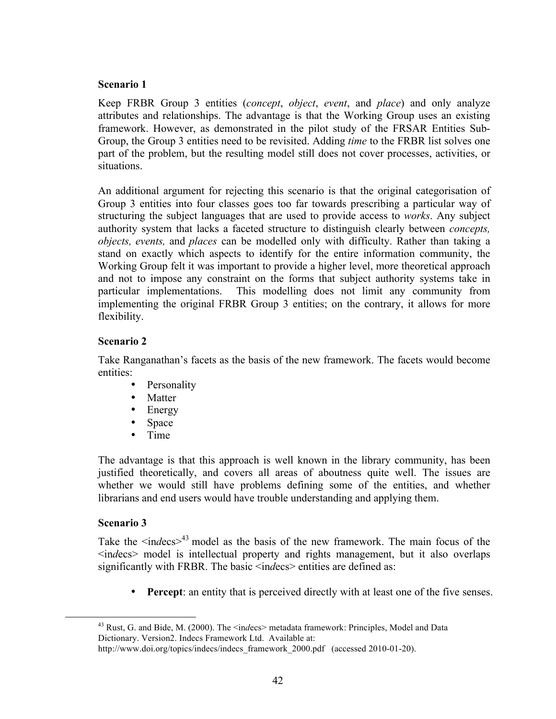#### **Scenario 1**

Keep FRBR Group 3 entities (*concept*, *object*, *event*, and *place*) and only analyze attributes and relationships. The advantage is that the Working Group uses an existing framework. However, as demonstrated in the pilot study of the FRSAR Entities Sub-Group, the Group 3 entities need to be revisited. Adding *time* to the FRBR list solves one part of the problem, but the resulting model still does not cover processes, activities, or situations.

An additional argument for rejecting this scenario is that the original categorisation of Group 3 entities into four classes goes too far towards prescribing a particular way of structuring the subject languages that are used to provide access to *works*. Any subject authority system that lacks a faceted structure to distinguish clearly between *concepts, objects, events,* and *places* can be modelled only with difficulty. Rather than taking a stand on exactly which aspects to identify for the entire information community, the Working Group felt it was important to provide a higher level, more theoretical approach and not to impose any constraint on the forms that subject authority systems take in particular implementations. This modelling does not limit any community from implementing the original FRBR Group 3 entities; on the contrary, it allows for more flexibility.

#### **Scenario 2**

Take Ranganathan's facets as the basis of the new framework. The facets would become entities:

- Personality
- Matter
- Energy
- Space
- Time

The advantage is that this approach is well known in the library community, has been justified theoretically, and covers all areas of aboutness quite well. The issues are whether we would still have problems defining some of the entities, and whether librarians and end users would have trouble understanding and applying them.

#### **Scenario 3**

Take the  $\langle$ indecs $\rangle$ <sup>43</sup> model as the basis of the new framework. The main focus of the <in*d*ecs> model is intellectual property and rights management, but it also overlaps significantly with FRBR. The basic  $\leq$  indecs  $\geq$  entities are defined as:

**Percept:** an entity that is perceived directly with at least one of the five senses.

<sup>&</sup>lt;sup>43</sup> Rust, G. and Bide, M. (2000). The <indecs> metadata framework: Principles, Model and Data Dictionary. Version2. Indecs Framework Ltd. Available at:

http://www.doi.org/topics/indecs/indecs framework 2000.pdf (accessed 2010-01-20).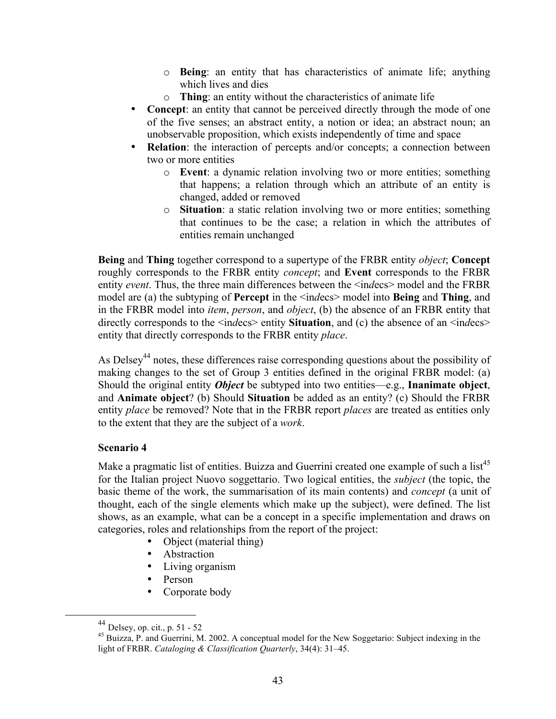- o **Being**: an entity that has characteristics of animate life; anything which lives and dies
- o **Thing**: an entity without the characteristics of animate life
- **Concept**: an entity that cannot be perceived directly through the mode of one of the five senses; an abstract entity, a notion or idea; an abstract noun; an unobservable proposition, which exists independently of time and space
- **Relation**: the interaction of percepts and/or concepts; a connection between two or more entities
	- o **Event**: a dynamic relation involving two or more entities; something that happens; a relation through which an attribute of an entity is changed, added or removed
	- o **Situation**: a static relation involving two or more entities; something that continues to be the case; a relation in which the attributes of entities remain unchanged

**Being** and **Thing** together correspond to a supertype of the FRBR entity *object*; **Concept** roughly corresponds to the FRBR entity *concept*; and **Event** corresponds to the FRBR entity *event*. Thus, the three main differences between the <in*d*ecs> model and the FRBR model are (a) the subtyping of **Percept** in the <in*d*ecs> model into **Being** and **Thing**, and in the FRBR model into *item*, *person*, and *object*, (b) the absence of an FRBR entity that directly corresponds to the  $\langle$ indecs> entity **Situation**, and (c) the absence of an  $\langle$ indecs> entity that directly corresponds to the FRBR entity *place*.

As Delsey<sup>44</sup> notes, these differences raise corresponding questions about the possibility of making changes to the set of Group 3 entities defined in the original FRBR model: (a) Should the original entity *Object* be subtyped into two entities—e.g., **Inanimate object**, and **Animate object**? (b) Should **Situation** be added as an entity? (c) Should the FRBR entity *place* be removed? Note that in the FRBR report *places* are treated as entities only to the extent that they are the subject of a *work*.

#### **Scenario 4**

Make a pragmatic list of entities. Buizza and Guerrini created one example of such a list<sup>45</sup> for the Italian project Nuovo soggettario. Two logical entities, the *subject* (the topic, the basic theme of the work, the summarisation of its main contents) and *concept* (a unit of thought, each of the single elements which make up the subject), were defined. The list shows, as an example, what can be a concept in a specific implementation and draws on categories, roles and relationships from the report of the project:

- Object (material thing)
- Abstraction
- Living organism
- Person
- Corporate body

 <sup>44</sup> Delsey, op. cit., p. 51 - 52

<sup>45</sup> Buizza, P. and Guerrini, M. 2002. A conceptual model for the New Soggetario: Subject indexing in the light of FRBR. *Cataloging & Classification Quarterly*, 34(4): 31–45.